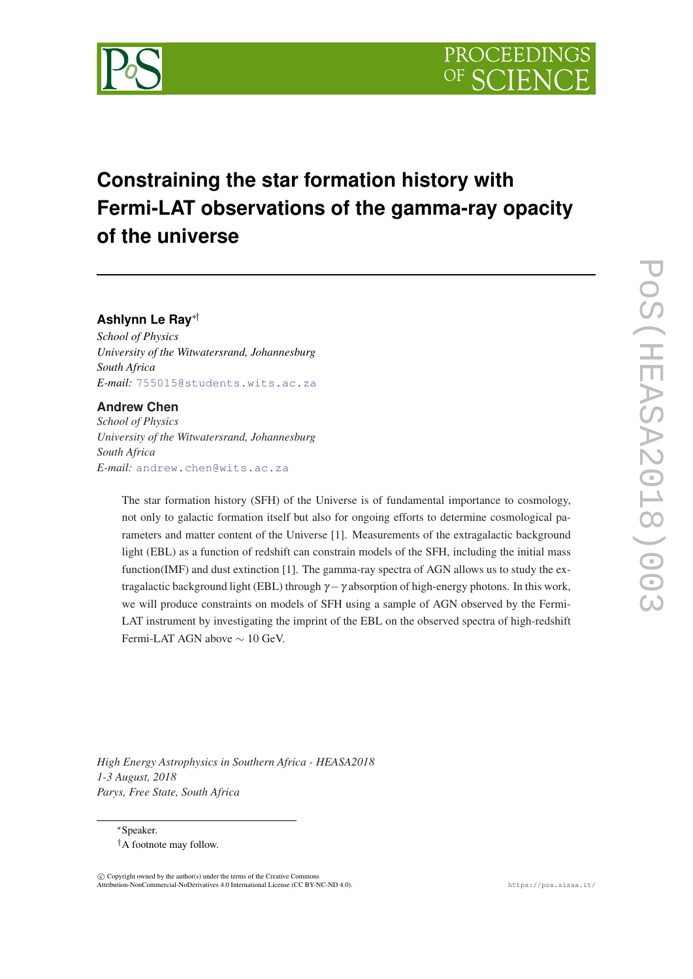

# **Constraining the star formation history with Fermi-LAT observations of the gamma-ray opacity of the universe**

**Ashlynn Le Ray**∗†

*School of Physics University of the Witwatersrand, Johannesburg South Africa E-mail:* [755015@students.wits.ac.za](mailto:755015@students.wits.ac.za)

# **Andrew Chen**

*School of Physics University of the Witwatersrand, Johannesburg South Africa E-mail:* [andrew.chen@wits.ac.za](mailto:andrew.chen@wits.ac.za)

> The star formation history (SFH) of the Universe is of fundamental importance to cosmology, not only to galactic formation itself but also for ongoing efforts to determine cosmological parameters and matter content of the Universe [1]. Measurements of the extragalactic background light (EBL) as a function of redshift can constrain models of the SFH, including the initial mass function(IMF) and dust extinction [1]. The gamma-ray spectra of AGN allows us to study the extragalactic background light (EBL) through  $\gamma - \gamma$  absorption of high-energy photons. In this work, we will produce constraints on models of SFH using a sample of AGN observed by the Fermi-LAT instrument by investigating the imprint of the EBL on the observed spectra of high-redshift Fermi-LAT AGN above ∼ 10 GeV.

*High Energy Astrophysics in Southern Africa - HEASA2018 1-3 August, 2018 Parys, Free State, South Africa*

<sup>∗</sup>Speaker.

†A footnote may follow.

 $\overline{c}$  Copyright owned by the author(s) under the terms of the Creative Common Attribution-NonCommercial-NoDerivatives 4.0 International License (CC BY-NC-ND 4.0). https://pos.sissa.it/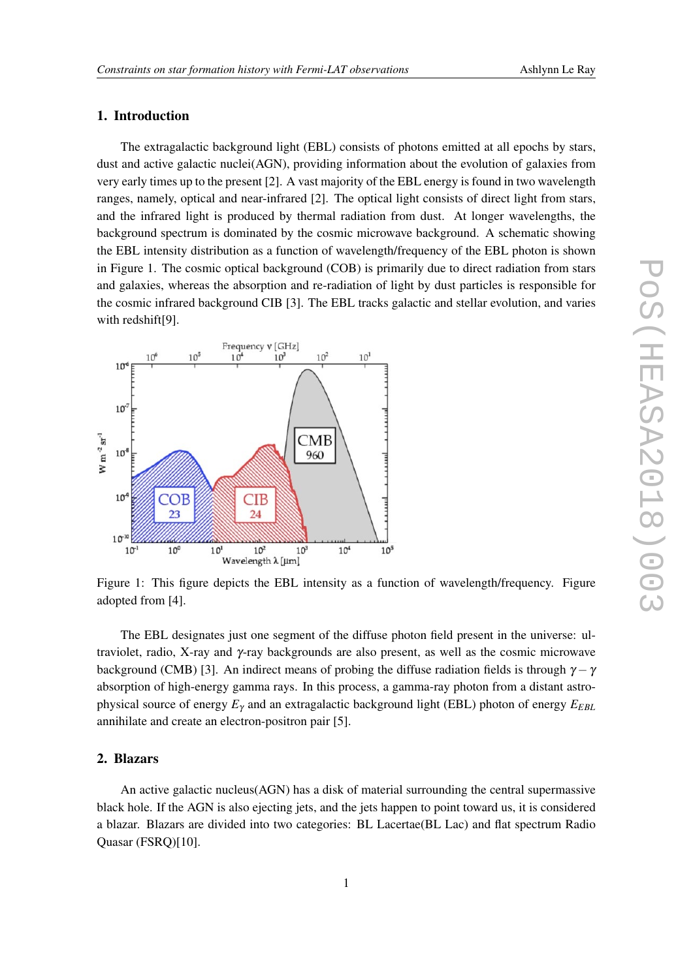# 1. Introduction

The extragalactic background light (EBL) consists of photons emitted at all epochs by stars, dust and active galactic nuclei(AGN), providing information about the evolution of galaxies from very early times up to the present [2]. A vast majority of the EBL energy is found in two wavelength ranges, namely, optical and near-infrared [2]. The optical light consists of direct light from stars, and the infrared light is produced by thermal radiation from dust. At longer wavelengths, the background spectrum is dominated by the cosmic microwave background. A schematic showing the EBL intensity distribution as a function of wavelength/frequency of the EBL photon is shown in Figure 1. The cosmic optical background (COB) is primarily due to direct radiation from stars and galaxies, whereas the absorption and re-radiation of light by dust particles is responsible for the cosmic infrared background CIB [3]. The EBL tracks galactic and stellar evolution, and varies with redshift[9].



Figure 1: This figure depicts the EBL intensity as a function of wavelength/frequency. Figure adopted from [4].

The EBL designates just one segment of the diffuse photon field present in the universe: ultraviolet, radio, X-ray and  $\gamma$ -ray backgrounds are also present, as well as the cosmic microwave background (CMB) [3]. An indirect means of probing the diffuse radiation fields is through  $\gamma - \gamma$ absorption of high-energy gamma rays. In this process, a gamma-ray photon from a distant astrophysical source of energy *E*<sup>γ</sup> and an extragalactic background light (EBL) photon of energy *EEBL* annihilate and create an electron-positron pair [5].

## 2. Blazars

An active galactic nucleus(AGN) has a disk of material surrounding the central supermassive black hole. If the AGN is also ejecting jets, and the jets happen to point toward us, it is considered a blazar. Blazars are divided into two categories: BL Lacertae(BL Lac) and flat spectrum Radio Quasar (FSRQ)[10].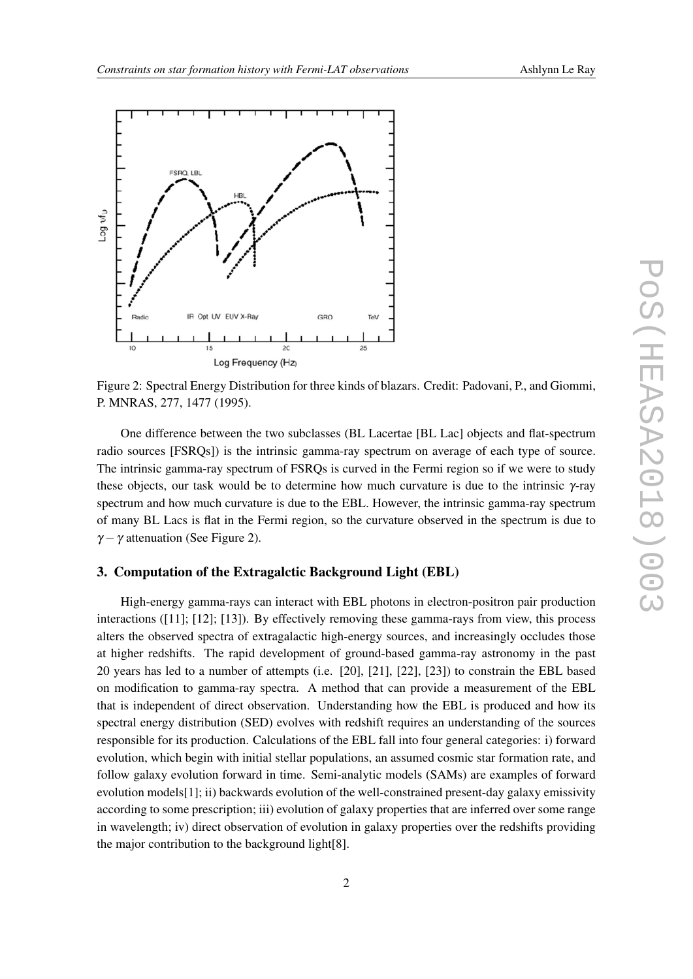

Figure 2: Spectral Energy Distribution for three kinds of blazars. Credit: Padovani, P., and Giommi, P. MNRAS, 277, 1477 (1995).

One difference between the two subclasses (BL Lacertae [BL Lac] objects and flat-spectrum radio sources [FSRQs]) is the intrinsic gamma-ray spectrum on average of each type of source. The intrinsic gamma-ray spectrum of FSRQs is curved in the Fermi region so if we were to study these objects, our task would be to determine how much curvature is due to the intrinsic γ-ray spectrum and how much curvature is due to the EBL. However, the intrinsic gamma-ray spectrum of many BL Lacs is flat in the Fermi region, so the curvature observed in the spectrum is due to  $\gamma - \gamma$  attenuation (See Figure 2).

## 3. Computation of the Extragalctic Background Light (EBL)

High-energy gamma-rays can interact with EBL photons in electron-positron pair production interactions ([11]; [12]; [13]). By effectively removing these gamma-rays from view, this process alters the observed spectra of extragalactic high-energy sources, and increasingly occludes those at higher redshifts. The rapid development of ground-based gamma-ray astronomy in the past 20 years has led to a number of attempts (i.e. [20], [21], [22], [23]) to constrain the EBL based on modification to gamma-ray spectra. A method that can provide a measurement of the EBL that is independent of direct observation. Understanding how the EBL is produced and how its spectral energy distribution (SED) evolves with redshift requires an understanding of the sources responsible for its production. Calculations of the EBL fall into four general categories: i) forward evolution, which begin with initial stellar populations, an assumed cosmic star formation rate, and follow galaxy evolution forward in time. Semi-analytic models (SAMs) are examples of forward evolution models[1]; ii) backwards evolution of the well-constrained present-day galaxy emissivity according to some prescription; iii) evolution of galaxy properties that are inferred over some range in wavelength; iv) direct observation of evolution in galaxy properties over the redshifts providing the major contribution to the background light[8].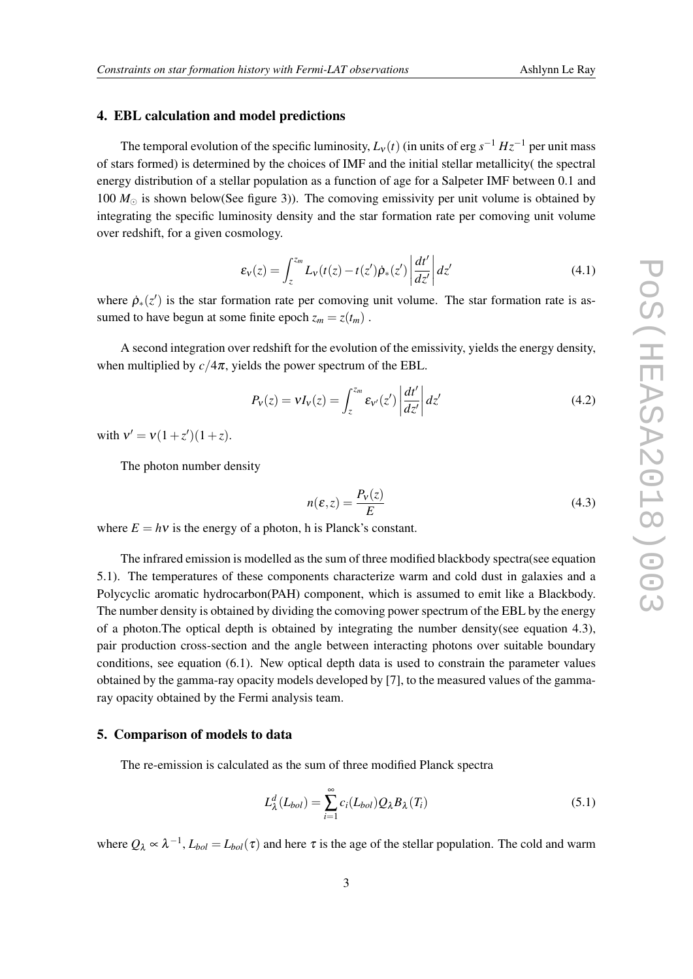#### 4. EBL calculation and model predictions

The temporal evolution of the specific luminosity,  $L_v(t)$  (in units of erg  $s^{-1} Hz^{-1}$  per unit mass of stars formed) is determined by the choices of IMF and the initial stellar metallicity( the spectral energy distribution of a stellar population as a function of age for a Salpeter IMF between 0.1 and 100  $M_{\odot}$  is shown below(See figure 3)). The comoving emissivity per unit volume is obtained by integrating the specific luminosity density and the star formation rate per comoving unit volume over redshift, for a given cosmology.

$$
\varepsilon_{\mathbf{v}}(z) = \int_{z}^{z_m} L_{\mathbf{v}}(t(z) - t(z')\dot{\rho}_*(z') \left| \frac{dt'}{dz'} \right| dz' \tag{4.1}
$$

where  $\rho_*(z')$  is the star formation rate per comoving unit volume. The star formation rate is assumed to have begun at some finite epoch  $z_m = z(t_m)$ .

A second integration over redshift for the evolution of the emissivity, yields the energy density, when multiplied by  $c/4\pi$ , yields the power spectrum of the EBL.

$$
P_V(z) = VI_V(z) = \int_z^{z_m} \varepsilon_{V'}(z') \left| \frac{dt'}{dz'} \right| dz' \tag{4.2}
$$

with  $v' = v(1+z')(1+z)$ .

The photon number density

$$
n(\varepsilon, z) = \frac{P_v(z)}{E}
$$
 (4.3)

where  $E = hv$  is the energy of a photon, h is Planck's constant.

The infrared emission is modelled as the sum of three modified blackbody spectra(see equation 5.1). The temperatures of these components characterize warm and cold dust in galaxies and a Polycyclic aromatic hydrocarbon(PAH) component, which is assumed to emit like a Blackbody. The number density is obtained by dividing the comoving power spectrum of the EBL by the energy of a photon.The optical depth is obtained by integrating the number density(see equation 4.3), pair production cross-section and the angle between interacting photons over suitable boundary conditions, see equation (6.1). New optical depth data is used to constrain the parameter values obtained by the gamma-ray opacity models developed by [7], to the measured values of the gammaray opacity obtained by the Fermi analysis team.

## 5. Comparison of models to data

The re-emission is calculated as the sum of three modified Planck spectra

$$
L_{\lambda}^{d}(L_{bol}) = \sum_{i=1}^{\infty} c_i(L_{bol})Q_{\lambda}B_{\lambda}(T_i)
$$
\n(5.1)

where  $Q_{\lambda} \propto \lambda^{-1}$ ,  $L_{bol} = L_{bol}(\tau)$  and here  $\tau$  is the age of the stellar population. The cold and warm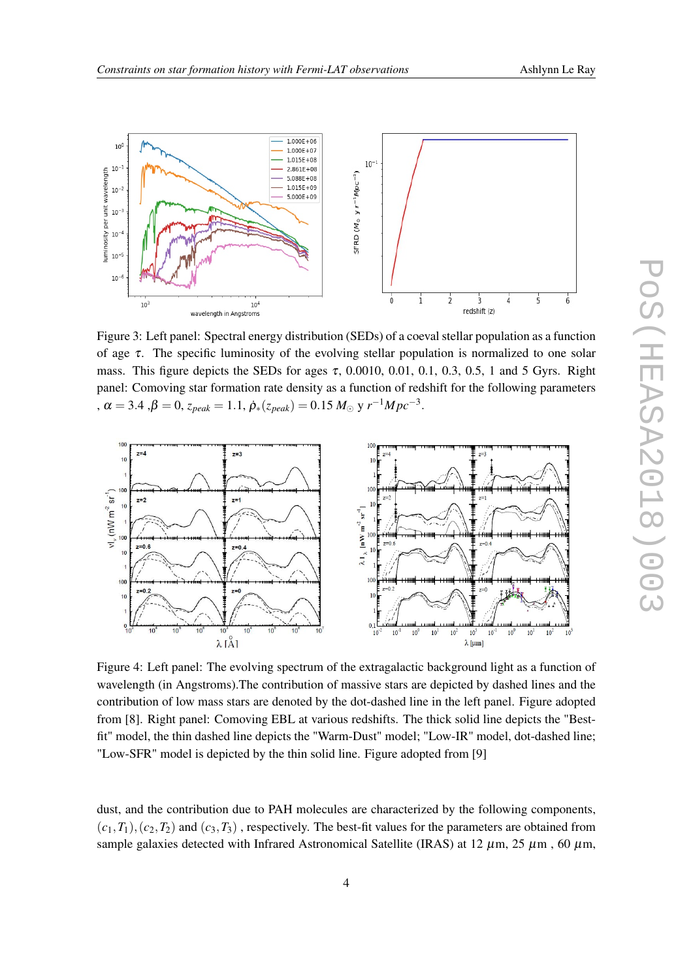



Figure 3: Left panel: Spectral energy distribution (SEDs) of a coeval stellar population as a function of age  $\tau$ . The specific luminosity of the evolving stellar population is normalized to one solar mass. This figure depicts the SEDs for ages  $\tau$ , 0.0010, 0.01, 0.1, 0.3, 0.5, 1 and 5 Gyrs. Right panel: Comoving star formation rate density as a function of redshift for the following parameters  $\alpha = 3.4$ ,  $\beta = 0$ ,  $z_{peak} = 1.1$ ,  $\dot{\rho}_{*}(z_{peak}) = 0.15 M_{\odot}$  y  $r^{-1}Mpc^{-3}$ .



Figure 4: Left panel: The evolving spectrum of the extragalactic background light as a function of wavelength (in Angstroms).The contribution of massive stars are depicted by dashed lines and the contribution of low mass stars are denoted by the dot-dashed line in the left panel. Figure adopted from [8]. Right panel: Comoving EBL at various redshifts. The thick solid line depicts the "Bestfit" model, the thin dashed line depicts the "Warm-Dust" model; "Low-IR" model, dot-dashed line; "Low-SFR" model is depicted by the thin solid line. Figure adopted from [9]

dust, and the contribution due to PAH molecules are characterized by the following components,  $(c_1, T_1), (c_2, T_2)$  and  $(c_3, T_3)$ , respectively. The best-fit values for the parameters are obtained from sample galaxies detected with Infrared Astronomical Satellite (IRAS) at 12  $\mu$ m, 25  $\mu$ m, 60  $\mu$ m,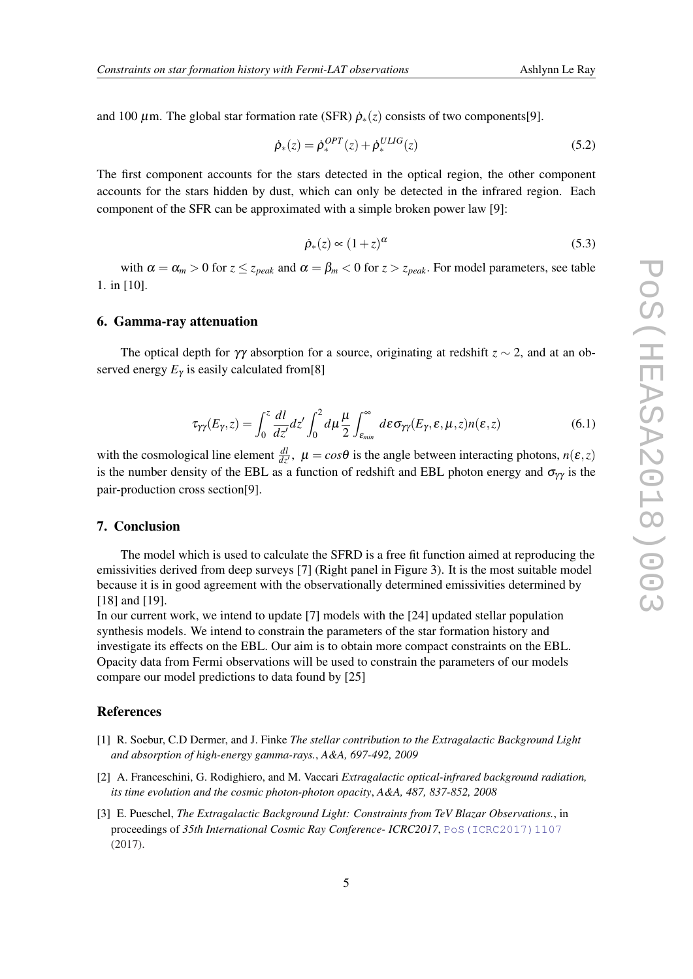and 100  $\mu$ m. The global star formation rate (SFR)  $\rho_*(z)$  consists of two components[9].

$$
\dot{\rho}_*(z) = \dot{\rho}_*^{OPT}(z) + \dot{\rho}_*^{ULIG}(z) \tag{5.2}
$$

The first component accounts for the stars detected in the optical region, the other component accounts for the stars hidden by dust, which can only be detected in the infrared region. Each component of the SFR can be approximated with a simple broken power law [9]:

$$
\dot{\rho}_*(z) \propto (1+z)^{\alpha} \tag{5.3}
$$

with  $\alpha = \alpha_m > 0$  for  $z \le z_{peak}$  and  $\alpha = \beta_m < 0$  for  $z > z_{peak}$ . For model parameters, see table 1. in [10].

#### 6. Gamma-ray attenuation

The optical depth for  $\gamma\gamma$  absorption for a source, originating at redshift  $z \sim 2$ , and at an observed energy  $E_{\gamma}$  is easily calculated from[8]

$$
\tau_{\gamma\gamma}(E_{\gamma},z) = \int_0^z \frac{dl}{dz'} dz' \int_0^2 d\mu \frac{\mu}{2} \int_{\varepsilon_{\min}}^{\infty} d\varepsilon \sigma_{\gamma\gamma}(E_{\gamma},\varepsilon,\mu,z) n(\varepsilon,z)
$$
(6.1)

with the cosmological line element  $\frac{dl}{dz'}$ ,  $\mu = cos\theta$  is the angle between interacting photons,  $n(\varepsilon, z)$ is the number density of the EBL as a function of redshift and EBL photon energy and  $\sigma_{\gamma\gamma}$  is the pair-production cross section[9].

## 7. Conclusion

The model which is used to calculate the SFRD is a free fit function aimed at reproducing the emissivities derived from deep surveys [7] (Right panel in Figure 3). It is the most suitable model because it is in good agreement with the observationally determined emissivities determined by [18] and [19].

In our current work, we intend to update [7] models with the [24] updated stellar population synthesis models. We intend to constrain the parameters of the star formation history and investigate its effects on the EBL. Our aim is to obtain more compact constraints on the EBL. Opacity data from Fermi observations will be used to constrain the parameters of our models compare our model predictions to data found by [25]

## References

- [1] R. Soebur, C.D Dermer, and J. Finke *The stellar contribution to the Extragalactic Background Light and absorption of high-energy gamma-rays.*, *A&A, 697-492, 2009*
- [2] A. Franceschini, G. Rodighiero, and M. Vaccari *Extragalactic optical-infrared background radiation, its time evolution and the cosmic photon-photon opacity*, *A&A, 487, 837-852, 2008*
- [3] E. Pueschel, *The Extragalactic Background Light: Constraints from TeV Blazar Observations.*, in proceedings of *35th International Cosmic Ray Conference- ICRC2017*, [PoS\(ICRC2017\)1107](https://pos.sissa.it/cgi-bin/reader/contribution.cgi?id=PoS(ICRC2017)1107) (2017).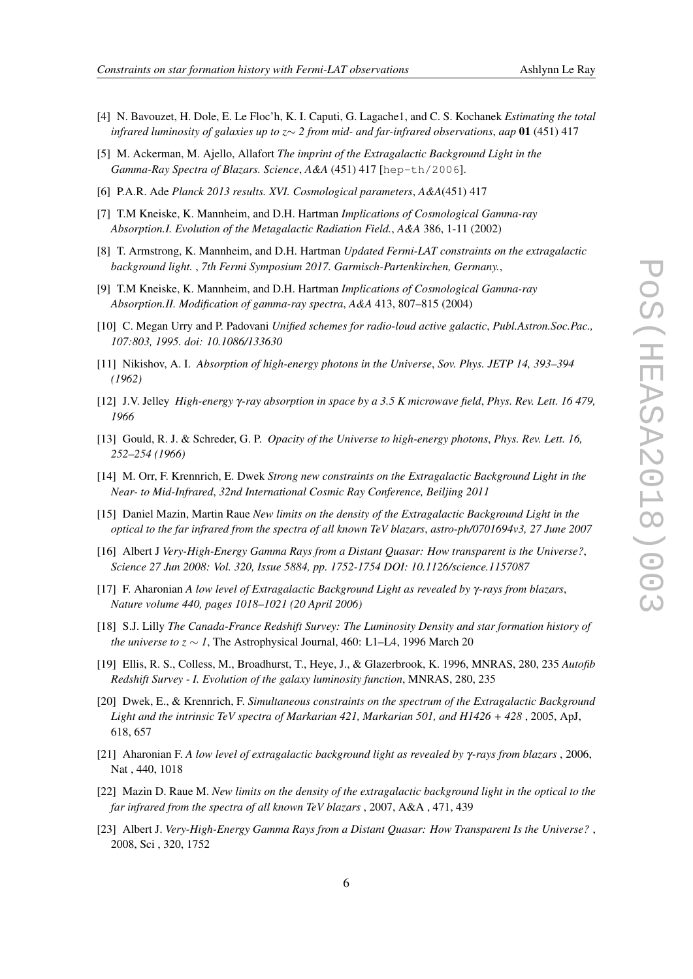- 
- [4] N. Bavouzet, H. Dole, E. Le Floc'h, K. I. Caputi, G. Lagache1, and C. S. Kochanek *Estimating the total infrared luminosity of galaxies up to z*∼ *2 from mid- and far-infrared observations*, *aap* 01 (451) 417
- [5] M. Ackerman, M. Ajello, Allafort *The imprint of the Extragalactic Background Light in the Gamma-Ray Spectra of Blazars. Science*, *A&A* (451) 417 [hep-th/2006].
- [6] P.A.R. Ade *Planck 2013 results. XVI. Cosmological parameters*, *A&A*(451) 417
- [7] T.M Kneiske, K. Mannheim, and D.H. Hartman *Implications of Cosmological Gamma-ray Absorption.I. Evolution of the Metagalactic Radiation Field.*, *A&A* 386, 1-11 (2002)
- [8] T. Armstrong, K. Mannheim, and D.H. Hartman *Updated Fermi-LAT constraints on the extragalactic background light.* , *7th Fermi Symposium 2017. Garmisch-Partenkirchen, Germany.*,
- [9] T.M Kneiske, K. Mannheim, and D.H. Hartman *Implications of Cosmological Gamma-ray Absorption.II. Modification of gamma-ray spectra*, *A&A* 413, 807–815 (2004)
- [10] C. Megan Urry and P. Padovani *Unified schemes for radio-loud active galactic*, *Publ.Astron.Soc.Pac., 107:803, 1995. doi: 10.1086/133630*
- [11] Nikishov, A. I. *Absorption of high-energy photons in the Universe*, *Sov. Phys. JETP 14, 393–394 (1962)*
- [12] J.V. Jelley *High-energy* γ*-ray absorption in space by a 3.5 K microwave field*, *Phys. Rev. Lett. 16 479, 1966*
- [13] Gould, R. J. & Schreder, G. P. *Opacity of the Universe to high-energy photons*, *Phys. Rev. Lett. 16, 252–254 (1966)*
- [14] M. Orr, F. Krennrich, E. Dwek *Strong new constraints on the Extragalactic Background Light in the Near- to Mid-Infrared*, *32nd International Cosmic Ray Conference, Beiljing 2011*
- [15] Daniel Mazin, Martin Raue *New limits on the density of the Extragalactic Background Light in the optical to the far infrared from the spectra of all known TeV blazars*, *astro-ph/0701694v3, 27 June 2007*
- [16] Albert J *Very-High-Energy Gamma Rays from a Distant Quasar: How transparent is the Universe?*, *Science 27 Jun 2008: Vol. 320, Issue 5884, pp. 1752-1754 DOI: 10.1126/science.1157087*
- [17] F. Aharonian *A low level of Extragalactic Background Light as revealed by* γ*-rays from blazars*, *Nature volume 440, pages 1018–1021 (20 April 2006)*
- [18] S.J. Lilly *The Canada-France Redshift Survey: The Luminosity Density and star formation history of the universe to z* ∼ *1*, The Astrophysical Journal, 460: L1–L4, 1996 March 20
- [19] Ellis, R. S., Colless, M., Broadhurst, T., Heye, J., & Glazerbrook, K. 1996, MNRAS, 280, 235 *Autofib Redshift Survey - I. Evolution of the galaxy luminosity function*, MNRAS, 280, 235
- [20] Dwek, E., & Krennrich, F. *Simultaneous constraints on the spectrum of the Extragalactic Background Light and the intrinsic TeV spectra of Markarian 421, Markarian 501, and H1426 + 428* , 2005, ApJ, 618, 657
- [21] Aharonian F. *A low level of extragalactic background light as revealed by* γ*-rays from blazars* , 2006, Nat , 440, 1018
- [22] Mazin D. Raue M. *New limits on the density of the extragalactic background light in the optical to the far infrared from the spectra of all known TeV blazars* , 2007, A&A , 471, 439
- [23] Albert J. *Very-High-Energy Gamma Rays from a Distant Quasar: How Transparent Is the Universe?* , 2008, Sci , 320, 1752